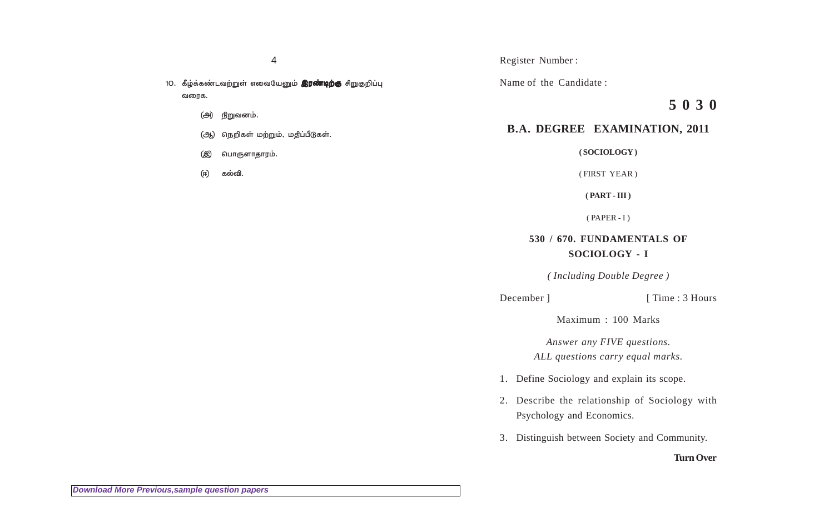- 10. கீழ்க்கண்டவற்றுள் எவையேனும் **இரண்டிற்கு** சிறுகுறிப்பு வரைக $.$ 
	- (அ) நிறுவனம்.
	- (ஆ) நெறிகள் மற்றும், மதிப்பீடுகள்.
	- (இ) பொருளாதாரம்.
	- (ஈ) கல்வி.

### Register Number :

Name of the Candidate :

# **5 0 3 0**

## **B.A. DEGREE EXAMINATION, 2011**

**( SOCIOLOGY )**

( FIRST YEAR )

**( PART - III )**

 $(PAPER - I)$ 

## **530 / 670. FUNDAMENTALS OF SOCIOLOGY - I**

*( Including Double Degree )*

### December ] [ Time : 3 Hours

Maximum : 100 Marks

*Answer any FIVE questions. ALL questions carry equal marks.*

- 1. Define Sociology and explain its scope.
- 2. Describe the relationship of Sociology with Psychology and Economics.
- 3. Distinguish between Society and Community.

## **Turn Over**